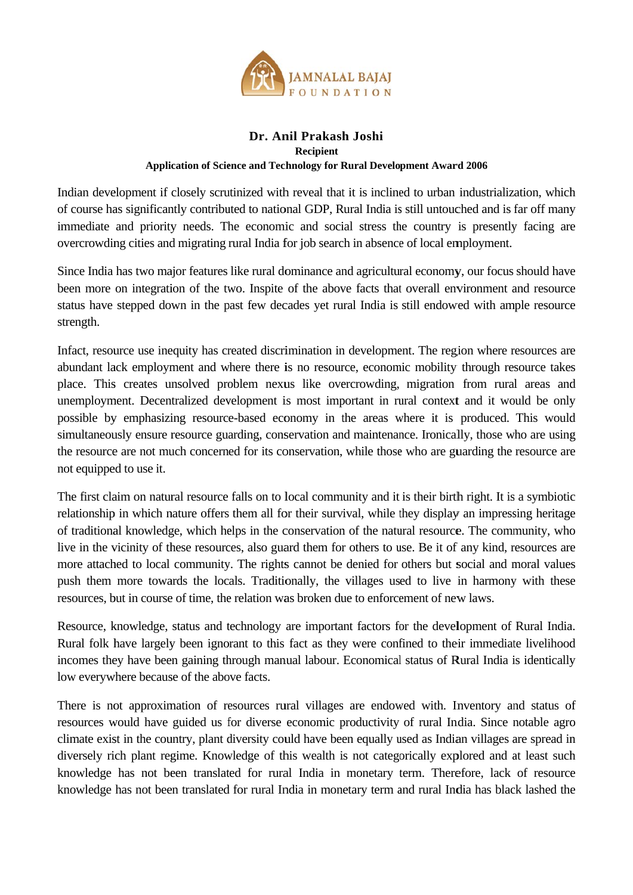

## Dr. Anil Prakash Joshi **Recipient Application of Science and Technology for Rural Development Award 2006**

Indian development if closely scrutinized with reveal that it is inclined to urban industrialization, which of course has significantly contributed to national GDP, Rural India is still untouched and is far off many immediate and priority needs. The economic and social stress the country is presently facing are overcrowding cities and migrating rural India for job search in absence of local employment.

Since India has two major features like rural dominance and agricultural economy, our focus should have been more on integration of the two. Inspite of the above facts that overall environment and resource status have stepped down in the past few decades yet rural India is still endowed with ample resource strength.

Infact, resource use inequity has created discrimination in development. The region where resources are abundant lack employment and where there is no resource, economic mobility through resource takes place. This creates unsolved problem nexus like overcrowding, migration from rural areas and unemployment. Decentralized development is most important in rural context and it would be only possible by emphasizing resource-based economy in the areas where it is produced. This would simultaneously ensure resource guarding, conservation and maintenance. Ironically, those who are using the resource are not much concerned for its conservation, while those who are guarding the resource are not equipped to use it.

The first claim on natural resource falls on to local community and it is their birth right. It is a symbiotic relationship in which nature offers them all for their survival, while they display an impressing heritage of traditional knowledge, which helps in the conservation of the natural resource. The community, who live in the vicinity of these resources, also guard them for others to use. Be it of any kind, resources are more attached to local community. The rights cannot be denied for others but social and moral values push them more towards the locals. Traditionally, the villages used to live in harmony with these resources, but in course of time, the relation was broken due to enforcement of new laws.

Resource, knowledge, status and technology are important factors for the development of Rural India. Rural folk have largely been ignorant to this fact as they were confined to their immediate livelihood incomes they have been gaining through manual labour. Economical status of Rural India is identically low everywhere because of the above facts.

There is not approximation of resources rural villages are endowed with. Inventory and status of resources would have guided us for diverse economic productivity of rural India. Since notable agro climate exist in the country, plant diversity could have been equally used as Indian villages are spread in diversely rich plant regime. Knowledge of this wealth is not categorically explored and at least such knowledge has not been translated for rural India in monetary term. Therefore, lack of resource knowledge has not been translated for rural India in monetary term and rural India has black lashed the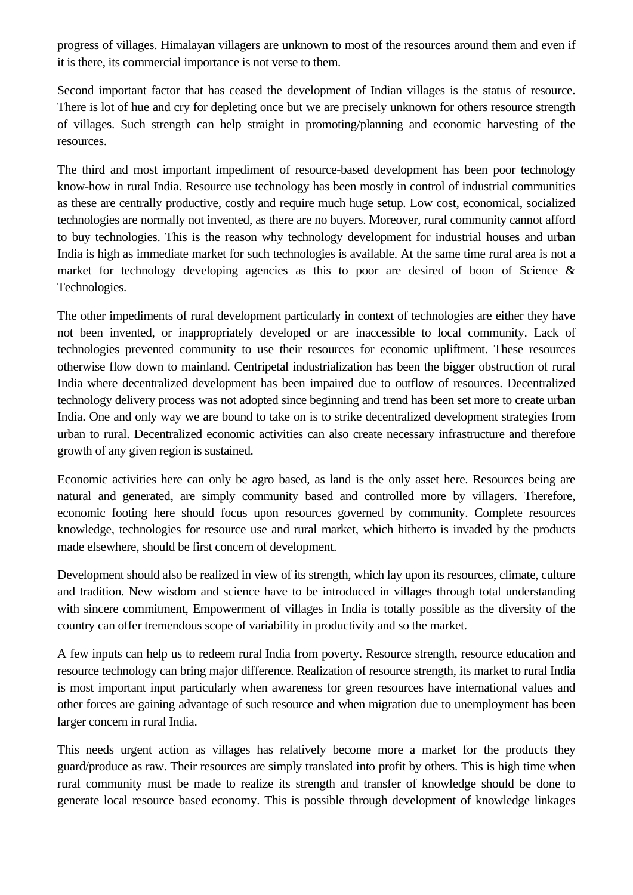progress of villages. Himalayan villagers are unknown to most of the resources around them and even if it is there, its commercial importance is not verse to them.

Second important factor that has ceased the development of Indian villages is the status of resource. There is lot of hue and cry for depleting once but we are precisely unknown for others resource strength of villages. Such strength can help straight in promoting/planning and economic harvesting of the resources.

The third and most important impediment of resource-based development has been poor technology know-how in rural India. Resource use technology has been mostly in control of industrial communities as these are centrally productive, costly and require much huge setup. Low cost, economical, socialized technologies are normally not invented, as there are no buyers. Moreover, rural community cannot afford to buy technologies. This is the reason why technology development for industrial houses and urban India is high as immediate market for such technologies is available. At the same time rural area is not a market for technology developing agencies as this to poor are desired of boon of Science & Technologies.

The other impediments of rural development particularly in context of technologies are either they have not been invented, or inappropriately developed or are inaccessible to local community. Lack of technologies prevented community to use their resources for economic upliftment. These resources otherwise flow down to mainland. Centripetal industrialization has been the bigger obstruction of rural India where decentralized development has been impaired due to outflow of resources. Decentralized technology delivery process was not adopted since beginning and trend has been set more to create urban India. One and only way we are bound to take on is to strike decentralized development strategies from urban to rural. Decentralized economic activities can also create necessary infrastructure and therefore growth of any given region is sustained.

Economic activities here can only be agro based, as land is the only asset here. Resources being are natural and generated, are simply community based and controlled more by villagers. Therefore, economic footing here should focus upon resources governed by community. Complete resources knowledge, technologies for resource use and rural market, which hitherto is invaded by the products made elsewhere, should be first concern of development.

Development should also be realized in view of its strength, which lay upon its resources, climate, culture and tradition. New wisdom and science have to be introduced in villages through total understanding with sincere commitment, Empowerment of villages in India is totally possible as the diversity of the country can offer tremendous scope of variability in productivity and so the market.

A few inputs can help us to redeem rural India from poverty. Resource strength, resource education and resource technology can bring major difference. Realization of resource strength, its market to rural India is most important input particularly when awareness for green resources have international values and other forces are gaining advantage of such resource and when migration due to unemployment has been larger concern in rural India.

This needs urgent action as villages has relatively become more a market for the products they guard/produce as raw. Their resources are simply translated into profit by others. This is high time when rural community must be made to realize its strength and transfer of knowledge should be done to generate local resource based economy. This is possible through development of knowledge linkages